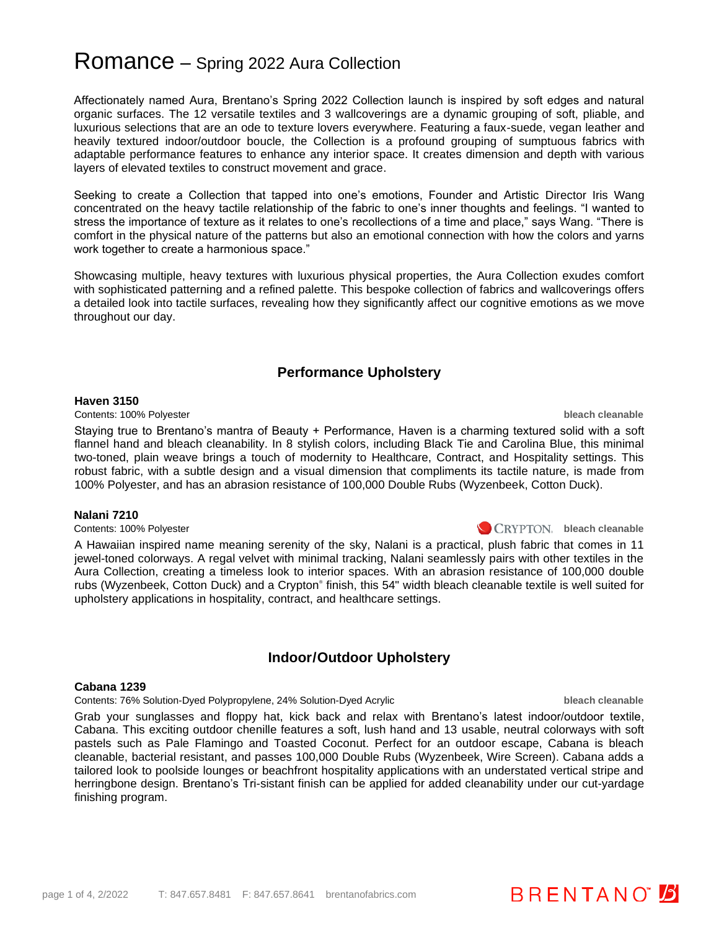# Romance – Spring 2022 Aura Collection

Affectionately named Aura, Brentano's Spring 2022 Collection launch is inspired by soft edges and natural organic surfaces. The 12 versatile textiles and 3 wallcoverings are a dynamic grouping of soft, pliable, and luxurious selections that are an ode to texture lovers everywhere. Featuring a faux-suede, vegan leather and heavily textured indoor/outdoor boucle, the Collection is a profound grouping of sumptuous fabrics with adaptable performance features to enhance any interior space. It creates dimension and depth with various layers of elevated textiles to construct movement and grace.

Seeking to create a Collection that tapped into one's emotions, Founder and Artistic Director Iris Wang concentrated on the heavy tactile relationship of the fabric to one's inner thoughts and feelings. "I wanted to stress the importance of texture as it relates to one's recollections of a time and place," says Wang. "There is comfort in the physical nature of the patterns but also an emotional connection with how the colors and yarns work together to create a harmonious space."

Showcasing multiple, heavy textures with luxurious physical properties, the Aura Collection exudes comfort with sophisticated patterning and a refined palette. This bespoke collection of fabrics and wallcoverings offers a detailed look into tactile surfaces, revealing how they significantly affect our cognitive emotions as we move throughout our day.

## **Performance Upholstery**

#### **Haven 3150**

Contents: 100% Polyester **bleach cleanable**

Staying true to Brentano's mantra of Beauty + Performance, Haven is a charming textured solid with a soft flannel hand and bleach cleanability. In 8 stylish colors, including Black Tie and Carolina Blue, this minimal two-toned, plain weave brings a touch of modernity to Healthcare, Contract, and Hospitality settings. This robust fabric, with a subtle design and a visual dimension that compliments its tactile nature, is made from 100% Polyester, and has an abrasion resistance of 100,000 Double Rubs (Wyzenbeek, Cotton Duck).

### **Nalani 7210**

Contents: 100% Polyester **bleach cleanable** bleach cleanable **bleach cleanable** contents: 100% Polyester

A Hawaiian inspired name meaning serenity of the sky, Nalani is a practical, plush fabric that comes in 11 jewel-toned colorways. A regal velvet with minimal tracking, Nalani seamlessly pairs with other textiles in the Aura Collection, creating a timeless look to interior spaces. With an abrasion resistance of 100,000 double rubs (Wyzenbeek, Cotton Duck) and a Crypton® finish, this 54" width bleach cleanable textile is well suited for upholstery applications in hospitality, contract, and healthcare settings.

## **Indoor/Outdoor Upholstery**

## **Cabana 1239**

Contents: 76% Solution-Dyed Polypropylene, 24% Solution-Dyed Acrylic **bleach cleanable**

Grab your sunglasses and floppy hat, kick back and relax with Brentano's latest indoor/outdoor textile, Cabana. This exciting outdoor chenille features a soft, lush hand and 13 usable, neutral colorways with soft pastels such as Pale Flamingo and Toasted Coconut. Perfect for an outdoor escape, Cabana is bleach cleanable, bacterial resistant, and passes 100,000 Double Rubs (Wyzenbeek, Wire Screen). Cabana adds a tailored look to poolside lounges or beachfront hospitality applications with an understated vertical stripe and herringbone design. Brentano's Tri-sistant finish can be applied for added cleanability under our cut-yardage finishing program.

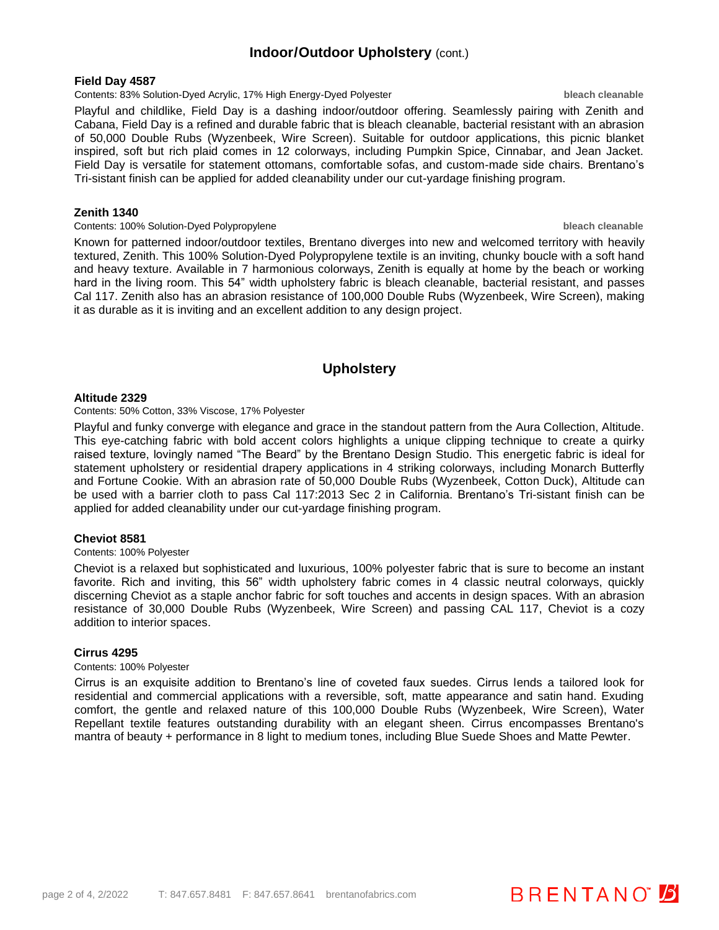## **Indoor/Outdoor Upholstery** (cont.)

#### **Field Day 4587**

#### Contents: 83% Solution-Dyed Acrylic, 17% High Energy-Dyed Polyester **bleach cleanable**

Playful and childlike, Field Day is a dashing indoor/outdoor offering. Seamlessly pairing with Zenith and Cabana, Field Day is a refined and durable fabric that is bleach cleanable, bacterial resistant with an abrasion of 50,000 Double Rubs (Wyzenbeek, Wire Screen). Suitable for outdoor applications, this picnic blanket inspired, soft but rich plaid comes in 12 colorways, including Pumpkin Spice, Cinnabar, and Jean Jacket. Field Day is versatile for statement ottomans, comfortable sofas, and custom-made side chairs. Brentano's Tri-sistant finish can be applied for added cleanability under our cut-yardage finishing program.

### **Zenith 1340**

#### Contents: 100% Solution-Dyed Polypropylene **bleach cleanable**

Known for patterned indoor/outdoor textiles, Brentano diverges into new and welcomed territory with heavily textured, Zenith. This 100% Solution-Dyed Polypropylene textile is an inviting, chunky boucle with a soft hand and heavy texture. Available in 7 harmonious colorways, Zenith is equally at home by the beach or working hard in the living room. This 54" width upholstery fabric is bleach cleanable, bacterial resistant, and passes Cal 117. Zenith also has an abrasion resistance of 100,000 Double Rubs (Wyzenbeek, Wire Screen), making it as durable as it is inviting and an excellent addition to any design project.

## **Upholstery**

#### **Altitude 2329**

#### Contents: 50% Cotton, 33% Viscose, 17% Polyester

Playful and funky converge with elegance and grace in the standout pattern from the Aura Collection, Altitude. This eye-catching fabric with bold accent colors highlights a unique clipping technique to create a quirky raised texture, lovingly named "The Beard" by the Brentano Design Studio. This energetic fabric is ideal for statement upholstery or residential drapery applications in 4 striking colorways, including Monarch Butterfly and Fortune Cookie. With an abrasion rate of 50,000 Double Rubs (Wyzenbeek, Cotton Duck), Altitude can be used with a barrier cloth to pass Cal 117:2013 Sec 2 in California. Brentano's Tri-sistant finish can be applied for added cleanability under our cut-yardage finishing program.

#### **Cheviot 8581**

#### Contents: 100% Polyester

Cheviot is a relaxed but sophisticated and luxurious, 100% polyester fabric that is sure to become an instant favorite. Rich and inviting, this 56" width upholstery fabric comes in 4 classic neutral colorways, quickly discerning Cheviot as a staple anchor fabric for soft touches and accents in design spaces. With an abrasion resistance of 30,000 Double Rubs (Wyzenbeek, Wire Screen) and passing CAL 117, Cheviot is a cozy addition to interior spaces.

#### **Cirrus 4295**

#### Contents: 100% Polyester

Cirrus is an exquisite addition to Brentano's line of coveted faux suedes. Cirrus lends a tailored look for residential and commercial applications with a reversible, soft, matte appearance and satin hand. Exuding comfort, the gentle and relaxed nature of this 100,000 Double Rubs (Wyzenbeek, Wire Screen), Water Repellant textile features outstanding durability with an elegant sheen. Cirrus encompasses Brentano's mantra of beauty + performance in 8 light to medium tones, including Blue Suede Shoes and Matte Pewter.

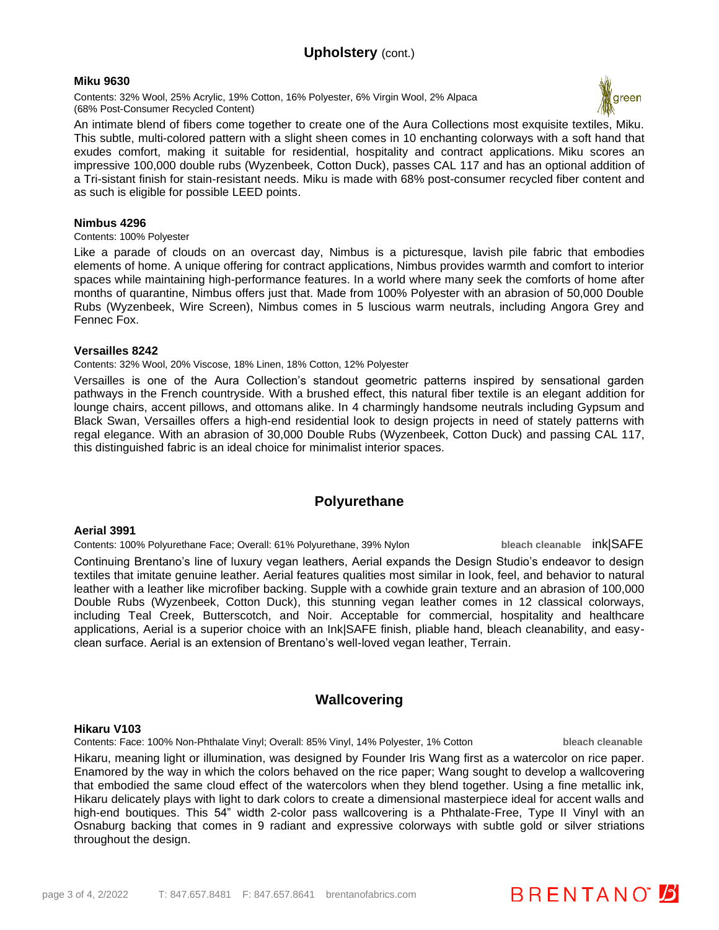## **Upholstery** (cont.)

#### **Miku 9630**

Contents: 32% Wool, 25% Acrylic, 19% Cotton, 16% Polyester, 6% Virgin Wool, 2% Alpaca (68% Post-Consumer Recycled Content)



An intimate blend of fibers come together to create one of the Aura Collections most exquisite textiles, Miku. This subtle, multi-colored pattern with a slight sheen comes in 10 enchanting colorways with a soft hand that exudes comfort, making it suitable for residential, hospitality and contract applications. Miku scores an impressive 100,000 double rubs (Wyzenbeek, Cotton Duck), passes CAL 117 and has an optional addition of a Tri-sistant finish for stain-resistant needs. Miku is made with 68% post-consumer recycled fiber content and as such is eligible for possible LEED points.

#### **Nimbus 4296**

Contents: 100% Polyester

Like a parade of clouds on an overcast day, Nimbus is a picturesque, lavish pile fabric that embodies elements of home. A unique offering for contract applications, Nimbus provides warmth and comfort to interior spaces while maintaining high-performance features. In a world where many seek the comforts of home after months of quarantine, Nimbus offers just that. Made from 100% Polyester with an abrasion of 50,000 Double Rubs (Wyzenbeek, Wire Screen), Nimbus comes in 5 luscious warm neutrals, including Angora Grey and Fennec Fox.

#### **Versailles 8242**

Contents: 32% Wool, 20% Viscose, 18% Linen, 18% Cotton, 12% Polyester

Versailles is one of the Aura Collection's standout geometric patterns inspired by sensational garden pathways in the French countryside. With a brushed effect, this natural fiber textile is an elegant addition for lounge chairs, accent pillows, and ottomans alike. In 4 charmingly handsome neutrals including Gypsum and Black Swan, Versailles offers a high-end residential look to design projects in need of stately patterns with regal elegance. With an abrasion of 30,000 Double Rubs (Wyzenbeek, Cotton Duck) and passing CAL 117, this distinguished fabric is an ideal choice for minimalist interior spaces.

## **Polyurethane**

#### **Aerial 3991**

Contents: 100% Polyurethane Face; Overall: 61% Polyurethane, 39% Nylon **bleach cleanable** ink|SAFE

Continuing Brentano's line of luxury vegan leathers, Aerial expands the Design Studio's endeavor to design textiles that imitate genuine leather. Aerial features qualities most similar in look, feel, and behavior to natural leather with a leather like microfiber backing. Supple with a cowhide grain texture and an abrasion of 100,000 Double Rubs (Wyzenbeek, Cotton Duck), this stunning vegan leather comes in 12 classical colorways, including Teal Creek, Butterscotch, and Noir. Acceptable for commercial, hospitality and healthcare applications, Aerial is a superior choice with an Ink|SAFE finish, pliable hand, bleach cleanability, and easyclean surface. Aerial is an extension of Brentano's well-loved vegan leather, Terrain.

## **Wallcovering**

#### **Hikaru V103**

Contents: Face: 100% Non-Phthalate Vinyl; Overall: 85% Vinyl, 14% Polyester, 1% Cotton **bleach cleanable**

**BRENTANO** 

Hikaru, meaning light or illumination, was designed by Founder Iris Wang first as a watercolor on rice paper. Enamored by the way in which the colors behaved on the rice paper; Wang sought to develop a wallcovering that embodied the same cloud effect of the watercolors when they blend together. Using a fine metallic ink, Hikaru delicately plays with light to dark colors to create a dimensional masterpiece ideal for accent walls and high-end boutiques. This 54" width 2-color pass wallcovering is a Phthalate-Free, Type II Vinyl with an Osnaburg backing that comes in 9 radiant and expressive colorways with subtle gold or silver striations throughout the design.